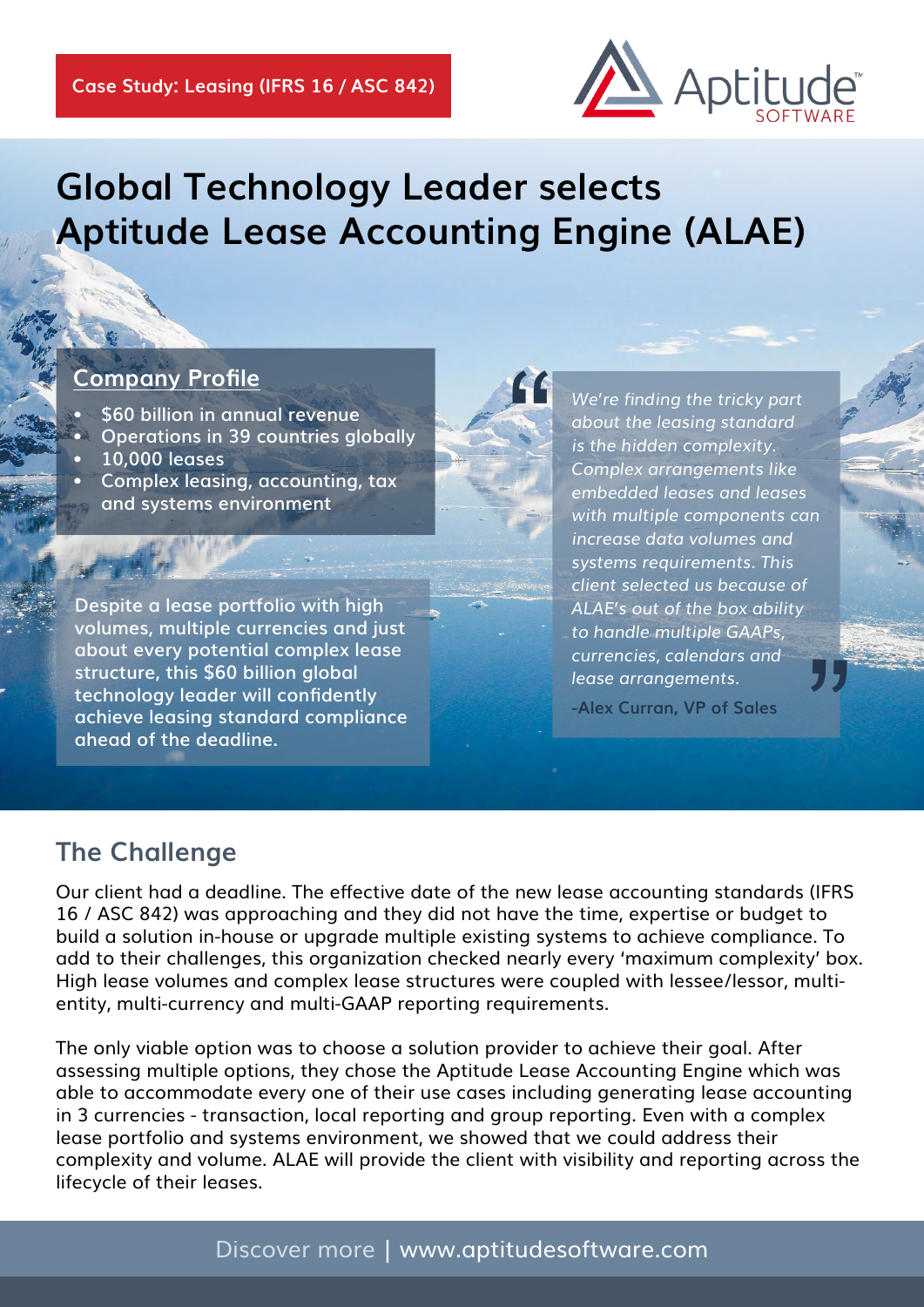

# **Global Technology Leader selects Aptitude Lease Accounting Engine (ALAE)**

"

#### **Company Profile**

- **• \$60 billion in annual revenue**
- **• Operations in 39 countries globally**
- **• 10,000 leases**
- **• Complex leasing, accounting, tax and systems environment**

**Despite a lease portfolio with high volumes, multiple currencies and just about every potential complex lease structure, this \$60 billion global technology leader will confidently achieve leasing standard compliance ahead of the deadline.**

*We're finding the tricky part about the leasing standard is the hidden complexity. Complex arrangements like embedded leases and leases with multiple components can increase data volumes and systems requirements. This client selected us because of ALAE's out of the box ability to handle multiple GAAPs, currencies, calendars and lease arrangements.* "

**-Alex Curran, VP of Sales**

### **The Challenge**

Our client had a deadline. The effective date of the new lease accounting standards (IFRS 16 / ASC 842) was approaching and they did not have the time, expertise or budget to build a solution in-house or upgrade multiple existing systems to achieve compliance. To add to their challenges, this organization checked nearly every 'maximum complexity' box. High lease volumes and complex lease structures were coupled with lessee/lessor, multientity, multi-currency and multi-GAAP reporting requirements.

The only viable option was to choose a solution provider to achieve their goal. After assessing multiple options, they chose the Aptitude Lease Accounting Engine which was able to accommodate every one of their use cases including generating lease accounting in 3 currencies - transaction, local reporting and group reporting. Even with a complex lease portfolio and systems environment, we showed that we could address their complexity and volume. ALAE will provide the client with visibility and reporting across the lifecycle of their leases.